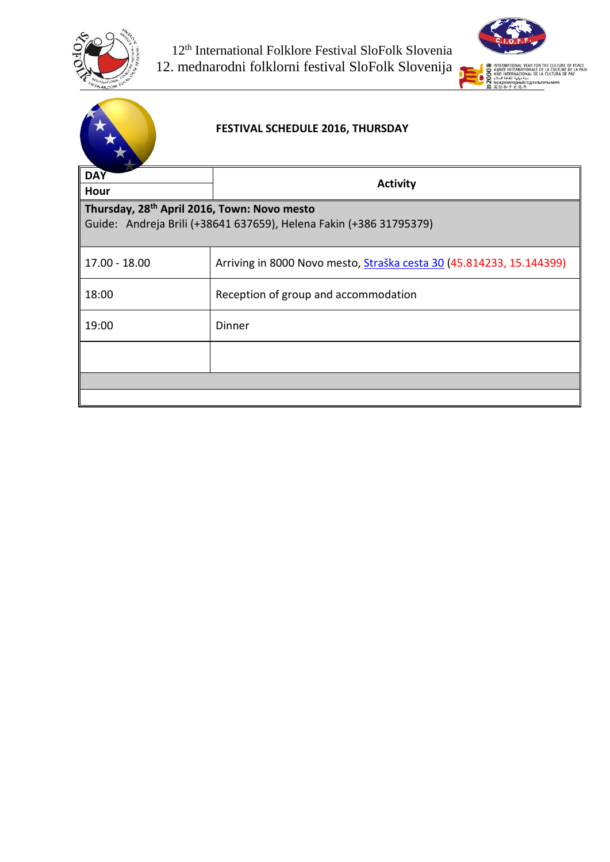



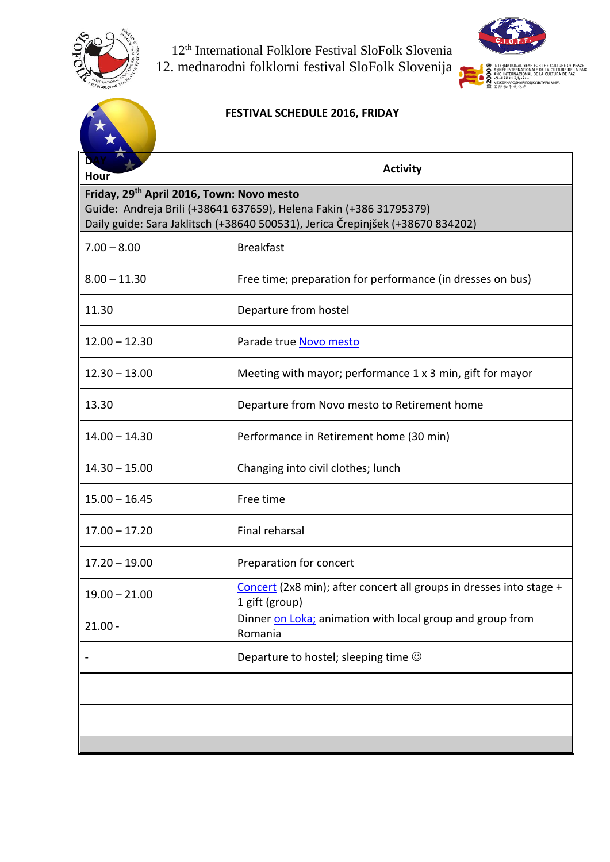



| <b>FESTIVAL SCHEDULE 2016, FRIDAY</b>                 |                                                                                                                                                      |
|-------------------------------------------------------|------------------------------------------------------------------------------------------------------------------------------------------------------|
| Hour                                                  | <b>Activity</b>                                                                                                                                      |
| Friday, 29 <sup>th</sup> April 2016, Town: Novo mesto | Guide: Andreja Brili (+38641 637659), Helena Fakin (+386 31795379)<br>Daily guide: Sara Jaklitsch (+38640 500531), Jerica Črepinjšek (+38670 834202) |
| $7.00 - 8.00$                                         | <b>Breakfast</b>                                                                                                                                     |
| $8.00 - 11.30$                                        | Free time; preparation for performance (in dresses on bus)                                                                                           |
| 11.30                                                 | Departure from hostel                                                                                                                                |
| $12.00 - 12.30$                                       | Parade true Novo mesto                                                                                                                               |
| $12.30 - 13.00$                                       | Meeting with mayor; performance 1 x 3 min, gift for mayor                                                                                            |
| 13.30                                                 | Departure from Novo mesto to Retirement home                                                                                                         |
| $14.00 - 14.30$                                       | Performance in Retirement home (30 min)                                                                                                              |
| $14.30 - 15.00$                                       | Changing into civil clothes; lunch                                                                                                                   |
| $15.00 - 16.45$                                       | Free time                                                                                                                                            |
| $17.00 - 17.20$                                       | Final reharsal                                                                                                                                       |
| ∥ 17.20 – 19.00                                       | Preparation for concert                                                                                                                              |
| $19.00 - 21.00$                                       | Concert (2x8 min); after concert all groups in dresses into stage +<br>1 gift (group)                                                                |
| $21.00 -$                                             | Dinner on Loka; animation with local group and group from<br>Romania                                                                                 |
|                                                       | Departure to hostel; sleeping time $\odot$                                                                                                           |
|                                                       |                                                                                                                                                      |
|                                                       |                                                                                                                                                      |
|                                                       |                                                                                                                                                      |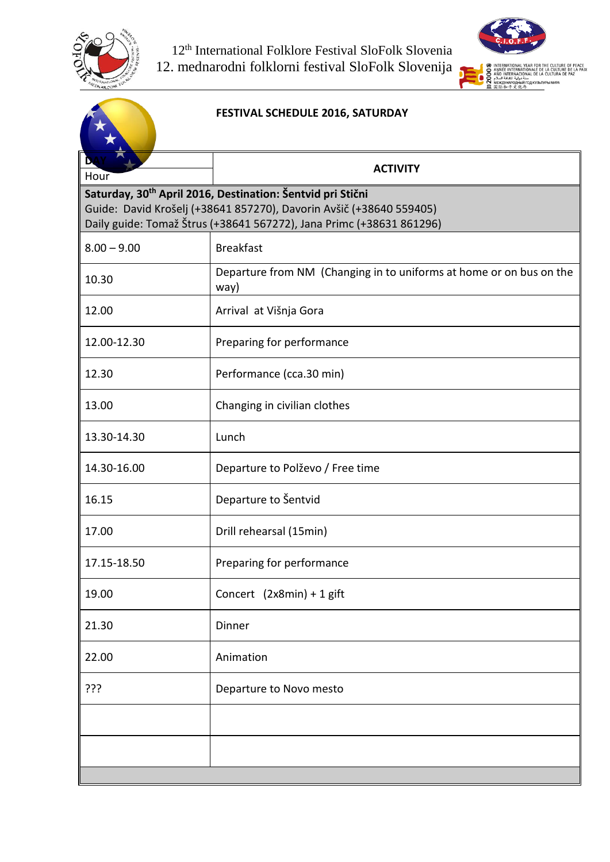



|                                                                                                                                                                                                                       | FESTIVAL SCHEDULE 2016, SATURDAY                                            |  |
|-----------------------------------------------------------------------------------------------------------------------------------------------------------------------------------------------------------------------|-----------------------------------------------------------------------------|--|
| Hour                                                                                                                                                                                                                  | <b>ACTIVITY</b>                                                             |  |
| Saturday, 30 <sup>th</sup> April 2016, Destination: Šentvid pri Stični<br>Guide: David Krošelj (+38641 857270), Davorin Avšič (+38640 559405)<br>Daily guide: Tomaž Štrus (+38641 567272), Jana Primc (+38631 861296) |                                                                             |  |
| $8.00 - 9.00$                                                                                                                                                                                                         | <b>Breakfast</b>                                                            |  |
| 10.30                                                                                                                                                                                                                 | Departure from NM (Changing in to uniforms at home or on bus on the<br>way) |  |
| 12.00                                                                                                                                                                                                                 | Arrival at Višnja Gora                                                      |  |
| 12.00-12.30                                                                                                                                                                                                           | Preparing for performance                                                   |  |
| 12.30                                                                                                                                                                                                                 | Performance (cca.30 min)                                                    |  |
| 13.00                                                                                                                                                                                                                 | Changing in civilian clothes                                                |  |
| 13.30-14.30                                                                                                                                                                                                           | Lunch                                                                       |  |
| 14.30-16.00                                                                                                                                                                                                           | Departure to Polževo / Free time                                            |  |
| 16.15                                                                                                                                                                                                                 | Departure to Šentvid                                                        |  |
| 17.00                                                                                                                                                                                                                 | Drill rehearsal (15min)                                                     |  |
| 17.15-18.50                                                                                                                                                                                                           | Preparing for performance                                                   |  |
| 19.00                                                                                                                                                                                                                 | Concert (2x8min) + 1 gift                                                   |  |
| 21.30                                                                                                                                                                                                                 | Dinner                                                                      |  |
| 22.00                                                                                                                                                                                                                 | Animation                                                                   |  |
| ???                                                                                                                                                                                                                   | Departure to Novo mesto                                                     |  |
|                                                                                                                                                                                                                       |                                                                             |  |
|                                                                                                                                                                                                                       |                                                                             |  |
|                                                                                                                                                                                                                       |                                                                             |  |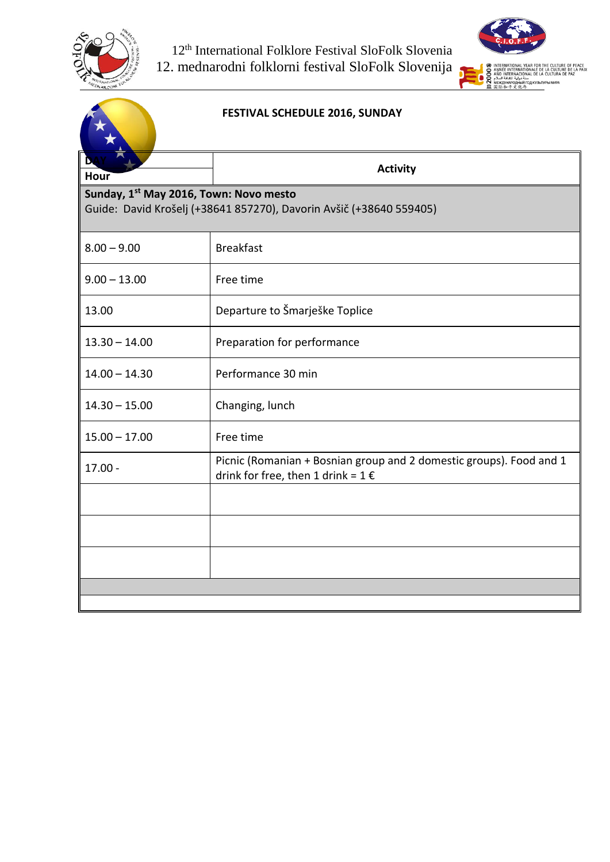



|                                                                                                                           | FESTIVAL SCHEDULE 2016, SUNDAY                                                                                         |  |
|---------------------------------------------------------------------------------------------------------------------------|------------------------------------------------------------------------------------------------------------------------|--|
| Hour                                                                                                                      | <b>Activity</b>                                                                                                        |  |
| Sunday, 1 <sup>st</sup> May 2016, Town: Novo mesto<br>Guide: David Krošelj (+38641 857270), Davorin Avšič (+38640 559405) |                                                                                                                        |  |
| $8.00 - 9.00$                                                                                                             | <b>Breakfast</b>                                                                                                       |  |
| $9.00 - 13.00$                                                                                                            | Free time                                                                                                              |  |
| 13.00                                                                                                                     | Departure to Šmarješke Toplice                                                                                         |  |
| $13.30 - 14.00$                                                                                                           | Preparation for performance                                                                                            |  |
| $14.00 - 14.30$                                                                                                           | Performance 30 min                                                                                                     |  |
| $14.30 - 15.00$                                                                                                           | Changing, lunch                                                                                                        |  |
| $15.00 - 17.00$                                                                                                           | Free time                                                                                                              |  |
| $17.00 -$                                                                                                                 | Picnic (Romanian + Bosnian group and 2 domestic groups). Food and 1<br>drink for free, then 1 drink = $1 \text{ } \in$ |  |
|                                                                                                                           |                                                                                                                        |  |
|                                                                                                                           |                                                                                                                        |  |
|                                                                                                                           |                                                                                                                        |  |
|                                                                                                                           |                                                                                                                        |  |
|                                                                                                                           |                                                                                                                        |  |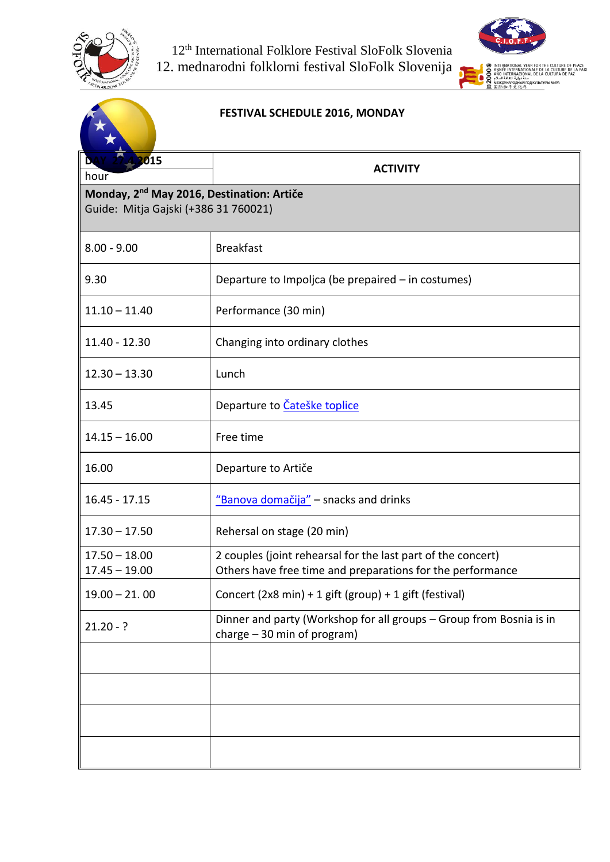



|                                                                                               | FESTIVAL SCHEDULE 2016, MONDAY                                                                                             |  |
|-----------------------------------------------------------------------------------------------|----------------------------------------------------------------------------------------------------------------------------|--|
| 2015<br>hour                                                                                  | <b>ACTIVITY</b>                                                                                                            |  |
| Monday, 2 <sup>nd</sup> May 2016, Destination: Artiče<br>Guide: Mitja Gajski (+386 31 760021) |                                                                                                                            |  |
| $8.00 - 9.00$                                                                                 | <b>Breakfast</b>                                                                                                           |  |
| 9.30                                                                                          | Departure to Impoljca (be prepaired - in costumes)                                                                         |  |
| $11.10 - 11.40$                                                                               | Performance (30 min)                                                                                                       |  |
| 11.40 - 12.30                                                                                 | Changing into ordinary clothes                                                                                             |  |
| $12.30 - 13.30$                                                                               | Lunch                                                                                                                      |  |
| 13.45                                                                                         | Departure to Cateške toplice                                                                                               |  |
| $14.15 - 16.00$                                                                               | Free time                                                                                                                  |  |
| 16.00                                                                                         | Departure to Artiče                                                                                                        |  |
| $16.45 - 17.15$                                                                               | "Banova domačija" - snacks and drinks                                                                                      |  |
| $17.30 - 17.50$                                                                               | Rehersal on stage (20 min)                                                                                                 |  |
| $17.50 - 18.00$<br>$17.45 - 19.00$                                                            | 2 couples (joint rehearsal for the last part of the concert)<br>Others have free time and preparations for the performance |  |
| $19.00 - 21.00$                                                                               | Concert (2x8 min) + 1 gift (group) + 1 gift (festival)                                                                     |  |
| $21.20 - ?$                                                                                   | Dinner and party (Workshop for all groups - Group from Bosnia is in<br>charge $-30$ min of program)                        |  |
|                                                                                               |                                                                                                                            |  |
|                                                                                               |                                                                                                                            |  |
|                                                                                               |                                                                                                                            |  |
|                                                                                               |                                                                                                                            |  |